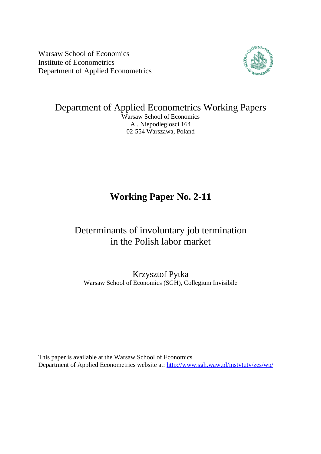

Department of Applied Econometrics Working Papers

Warsaw School of Economics Al. Niepodleglosci 164 02-554 Warszawa, Poland

# **Working Paper No. 2-11**

## Determinants of involuntary job termination in the Polish labor market

Krzysztof Pytka Warsaw School of Economics (SGH), Collegium Invisibile

This paper is available at the Warsaw School of Economics Department of Applied Econometrics website at: <http://www.sgh.waw.pl/instytuty/zes/wp/>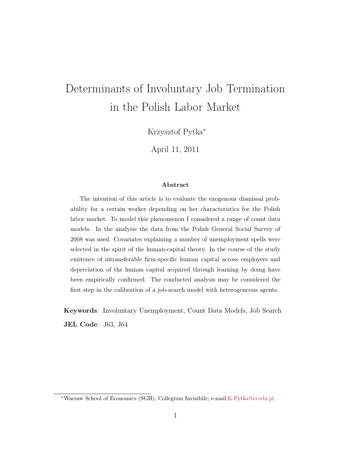# Determinants of Involuntary Job Termination in the Polish Labor Market

Krzysztof Pytka<sup>∗</sup>

April 11, 2011

#### Abstract

The intention of this article is to evaluate the exogenous dismissal probability for a certain worker depending on her characteristics for the Polish labor market. To model this phenomenon I considered a range of count data models. In the analysis the data from the Polish General Social Survey of 2008 was used. Covariates explaining a number of unemployment spells were selected in the spirit of the human-capital theory. In the course of the study existence of intransferable firm-specific human capital across employers and depreciation of the human capital acquired through learning by doing have been empirically confirmed. The conducted analysis may be considered the first step in the calibration of a job-search model with heterogeneous agents.

Keywords: Involuntary Unemployment, Count Data Models, Job Search JEL Code: J63, J64

<sup>∗</sup>Warsaw School of Economics (SGH), Collegium Invisibile; e-mail[:K.Pytka@ci.edu.pl](mailto:K.Pytka@ci.edu.pl)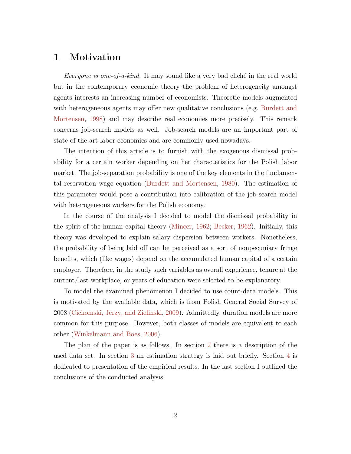#### 1 Motivation

Everyone is one-of-a-kind. It may sound like a very bad cliché in the real world but in the contemporary economic theory the problem of heterogeneity amongst agents interests an increasing number of economists. Theoretic models augmented with heterogeneous agents may offer new qualitative conclusions (e.g. [Burdett and](#page-17-0) [Mortensen,](#page-17-0) [1998\)](#page-17-0) and may describe real economies more precisely. This remark concerns job-search models as well. Job-search models are an important part of state-of-the-art labor economics and are commonly used nowadays.

The intention of this article is to furnish with the exogenous dismissal probability for a certain worker depending on her characteristics for the Polish labor market. The job-separation probability is one of the key elements in the fundamental reservation wage equation [\(Burdett and Mortensen,](#page-17-1) [1980\)](#page-17-1). The estimation of this parameter would pose a contribution into calibration of the job-search model with heterogeneous workers for the Polish economy.

In the course of the analysis I decided to model the dismissal probability in the spirit of the human capital theory [\(Mincer,](#page-18-0) [1962;](#page-18-0) [Becker,](#page-17-2) [1962\)](#page-17-2). Initially, this theory was developed to explain salary dispersion between workers. Nonetheless, the probability of being laid off can be perceived as a sort of nonpecuniary fringe benefits, which (like wages) depend on the accumulated human capital of a certain employer. Therefore, in the study such variables as overall experience, tenure at the current/last workplace, or years of education were selected to be explanatory.

To model the examined phenomenon I decided to use count-data models. This is motivated by the available data, which is from Polish General Social Survey of 2008 [\(Cichomski, Jerzy, and Zielinski,](#page-17-3) [2009\)](#page-17-3). Admittedly, duration models are more common for this purpose. However, both classes of models are equivalent to each other [\(Winkelmann and Boes,](#page-18-1) [2006\)](#page-18-1).

The plan of the paper is as follows. In section [2](#page-3-0) there is a description of the used data set. In section [3](#page-9-0) an estimation strategy is laid out briefly. Section [4](#page-9-1) is dedicated to presentation of the empirical results. In the last section I outlined the conclusions of the conducted analysis.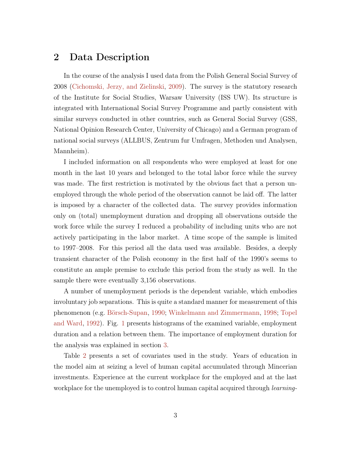### <span id="page-3-0"></span>2 Data Description

In the course of the analysis I used data from the Polish General Social Survey of 2008 [\(Cichomski, Jerzy, and Zielinski,](#page-17-3) [2009\)](#page-17-3). The survey is the statutory research of the Institute for Social Studies, Warsaw University (ISS UW). Its structure is integrated with International Social Survey Programme and partly consistent with similar surveys conducted in other countries, such as General Social Survey (GSS, National Opinion Research Center, University of Chicago) and a German program of national social surveys (ALLBUS, Zentrum fur Umfragen, Methoden und Analysen, Mannheim).

I included information on all respondents who were employed at least for one month in the last 10 years and belonged to the total labor force while the survey was made. The first restriction is motivated by the obvious fact that a person unemployed through the whole period of the observation cannot be laid off. The latter is imposed by a character of the collected data. The survey provides information only on (total) unemployment duration and dropping all observations outside the work force while the survey I reduced a probability of including units who are not actively participating in the labor market. A time scope of the sample is limited to 1997–2008. For this period all the data used was available. Besides, a deeply transient character of the Polish economy in the first half of the 1990's seems to constitute an ample premise to exclude this period from the study as well. In the sample there were eventually 3,156 observations.

A number of unemployment periods is the dependent variable, which embodies involuntary job separations. This is quite a standard manner for measurement of this phenomenon (e.g. [Börsch-Supan,](#page-17-4) [1990;](#page-17-4) [Winkelmann and Zimmermann,](#page-18-2) [1998;](#page-18-2) [Topel](#page-18-3) [and Ward,](#page-18-3) [1992\)](#page-18-3). Fig. [1](#page-5-0) presents histograms of the examined variable, employment duration and a relation between them. The importance of employment duration for the analysis was explained in section [3.](#page-9-0)

Table [2](#page-6-0) presents a set of covariates used in the study. Years of education in the model aim at seizing a level of human capital accumulated through Mincerian investments. Experience at the current workplace for the employed and at the last workplace for the unemployed is to control human capital acquired through *learning*-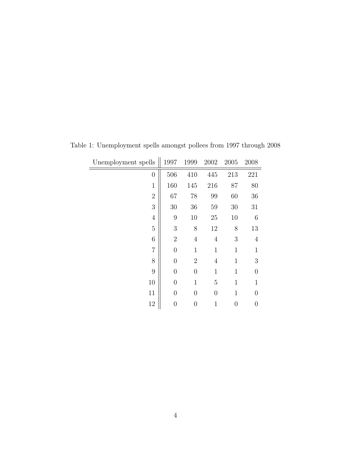| Unemployment spells | 1997           | 1999             | 2002           | 2005         | 2008             |
|---------------------|----------------|------------------|----------------|--------------|------------------|
| $\boldsymbol{0}$    | 506            | 410              | 445            | 213          | 221              |
| $\mathbf{1}$        | 160            | 145              | 216            | 87           | 80               |
| $\overline{2}$      | 67             | 78               | 99             | 60           | 36               |
| 3                   | $30\,$         | 36               | 59             | $30\,$       | 31               |
| $\overline{4}$      | 9              | 10               | 25             | 10           | $\,6$            |
| $\overline{5}$      | 3              | $8\,$            | 12             | 8            | 13               |
| 6                   | $\overline{2}$ | $\overline{4}$   | $\overline{4}$ | 3            | $\overline{4}$   |
| $\overline{7}$      | $\overline{0}$ | $\mathbf{1}$     | $\mathbf{1}$   | $\mathbf{1}$ | $\mathbf{1}$     |
| 8                   | $\overline{0}$ | $\overline{2}$   | $\overline{4}$ | $\mathbf{1}$ | $\boldsymbol{3}$ |
| 9                   | $\overline{0}$ | $\boldsymbol{0}$ | $\mathbf{1}$   | $\mathbf{1}$ | $\overline{0}$   |
| 10                  | $\overline{0}$ | $\mathbf{1}$     | 5              | $\mathbf{1}$ | $\mathbf{1}$     |
| 11                  | $\overline{0}$ | $\overline{0}$   | $\overline{0}$ | $\mathbf{1}$ | $\overline{0}$   |
| 12                  | $\overline{0}$ | $\boldsymbol{0}$ | 1              | 0            | $\boldsymbol{0}$ |

Table 1: Unemployment spells amongst pollees from 1997 through 2008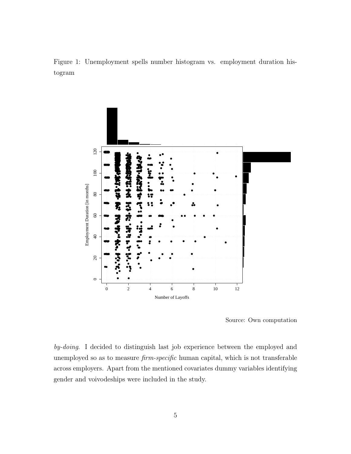<span id="page-5-0"></span>Figure 1: Unemployment spells number histogram vs. employment duration histogram



Source: Own computation

 $by\text{-}doing.$  I decided to distinguish last job experience between the employed and unemployed so as to measure *firm-specific* human capital, which is not transferable across employers. Apart from the mentioned covariates dummy variables identifying gender and voivodeships were included in the study.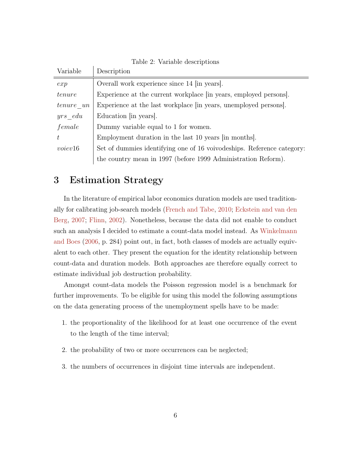| Set of dummies identifying one of 16 voivodeships. Reference category: |
|------------------------------------------------------------------------|
|                                                                        |
|                                                                        |

<span id="page-6-0"></span>Table 2: Variable descriptions

#### 3 Estimation Strategy

 $\mathbf{I}$ 

In the literature of empirical labor economics duration models are used traditionally for calibrating job-search models [\(French and Tabe,](#page-17-5) [2010;](#page-17-5) [Eckstein and van den](#page-17-6) [Berg,](#page-17-6) [2007;](#page-17-6) [Flinn,](#page-17-7) [2002\)](#page-17-7). Nonetheless, because the data did not enable to conduct such an analysis I decided to estimate a count-data model instead. As [Winkelmann](#page-18-1) [and Boes](#page-18-1) [\(2006,](#page-18-1) p. 284) point out, in fact, both classes of models are actually equivalent to each other. They present the equation for the identity relationship between count-data and duration models. Both approaches are therefore equally correct to estimate individual job destruction probability.

Amongst count-data models the Poisson regression model is a benchmark for further improvements. To be eligible for using this model the following assumptions on the data generating process of the unemployment spells have to be made:

- <span id="page-6-1"></span>1. the proportionality of the likelihood for at least one occurrence of the event to the length of the time interval;
- 2. the probability of two or more occurrences can be neglected;
- 3. the numbers of occurrences in disjoint time intervals are independent.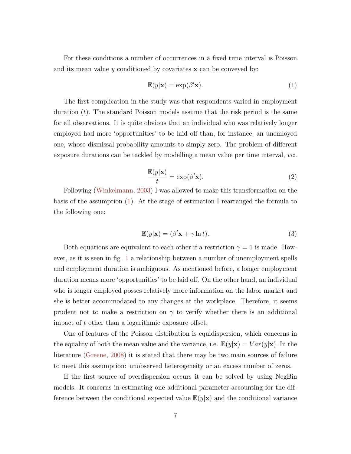For these conditions a number of occurrences in a fixed time interval is Poisson and its mean value y conditioned by covariates  $x$  can be conveyed by:

$$
\mathbb{E}(y|\mathbf{x}) = \exp(\beta' \mathbf{x}).\tag{1}
$$

The first complication in the study was that respondents varied in employment duration  $(t)$ . The standard Poisson models assume that the risk period is the same for all observations. It is quite obvious that an individual who was relatively longer employed had more 'opportunities' to be laid off than, for instance, an unemloyed one, whose dismissal probability amounts to simply zero. The problem of different exposure durations can be tackled by modelling a mean value per time interval, viz.

$$
\frac{\mathbb{E}(y|\mathbf{x})}{t} = \exp(\beta' \mathbf{x}).\tag{2}
$$

Following [\(Winkelmann,](#page-18-4) [2003\)](#page-18-4) I was allowed to make this transformation on the basis of the assumption [\(1\)](#page-6-1). At the stage of estimation I rearranged the formula to the following one:

$$
\mathbb{E}(y|\mathbf{x}) = (\beta' \mathbf{x} + \gamma \ln t). \tag{3}
$$

Both equations are equivalent to each other if a restriction  $\gamma = 1$  is made. However, as it is seen in fig. [1](#page-5-0) a relationship between a number of unemployment spells and employment duration is ambiguous. As mentioned before, a longer employment duration means more 'opportunities' to be laid off. On the other hand, an individual who is longer employed posses relatively more information on the labor market and she is better accommodated to any changes at the workplace. Therefore, it seems prudent not to make a restriction on  $\gamma$  to verify whether there is an additional impact of t other than a logarithmic exposure offset.

One of features of the Poisson distribution is equidispersion, which concerns in the equality of both the mean value and the variance, i.e.  $\mathbb{E}(y|\mathbf{x}) = Var(y|\mathbf{x})$ . In the literature [\(Greene,](#page-18-5) [2008\)](#page-18-5) it is stated that there may be two main sources of failure to meet this assumption: unobserved heterogeneity or an excess number of zeros.

If the first source of overdispersion occurs it can be solved by using NegBin models. It concerns in estimating one additional parameter accounting for the difference between the conditional expected value  $\mathbb{E}(y|\mathbf{x})$  and the conditional variance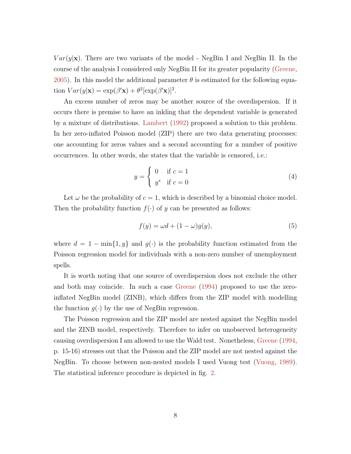$Var(y|\mathbf{x})$ . There are two variants of the model - NegBin I and NegBin II. In the course of the analysis I considered only NegBin II for its greater popularity [\(Greene,](#page-18-6) [2005\)](#page-18-6). In this model the additional parameter  $\theta$  is estimated for the following equation  $Var(y|\mathbf{x}) = \exp(\beta' \mathbf{x}) + \theta^2 [\exp(\beta' \mathbf{x})]^2$ .

An excess number of zeros may be another source of the overdispersion. If it occurs there is premise to have an inkling that the dependent variable is generated by a mixture of distributions. [Lambert](#page-18-7) [\(1992\)](#page-18-7) proposed a solution to this problem. In her zero-inflated Poisson model (ZIP) there are two data generating processes: one accounting for zeros values and a second accounting for a number of positive occurrences. In other words, she states that the variable is censored, i.e.:

$$
y = \begin{cases} 0 & \text{if } c = 1 \\ y^* & \text{if } c = 0 \end{cases}
$$
 (4)

Let  $\omega$  be the probability of  $c = 1$ , which is described by a binomial choice model. Then the probability function  $f(\cdot)$  of y can be presented as follows:

$$
f(y) = \omega d + (1 - \omega)g(y),\tag{5}
$$

where  $d = 1 - \min\{1, y\}$  and  $g(\cdot)$  is the probability function estimated from the Poisson regression model for individuals with a non-zero number of unemployment spells.

It is worth noting that one source of overdispersion does not exclude the other and both may coincide. In such a case [Greene](#page-17-8) [\(1994\)](#page-17-8) proposed to use the zeroinflated NegBin model (ZINB), which differs from the ZIP model with modelling the function  $g(\cdot)$  by the use of NegBin regression.

The Poisson regression and the ZIP model are nested against the NegBin model and the ZINB model, respectively. Therefore to infer on unobserved heterogeneity causing overdispersion I am allowed to use the Wald test. Nonetheless, [Greene](#page-17-8) [\(1994,](#page-17-8) p. 15-16) stresses out that the Poisson and the ZIP model are not nested against the NegBin. To choose between non-nested models I used Vuong test [\(Vuong,](#page-18-8) [1989\)](#page-18-8). The statistical inference procedure is depicted in fig. [2.](#page-9-0)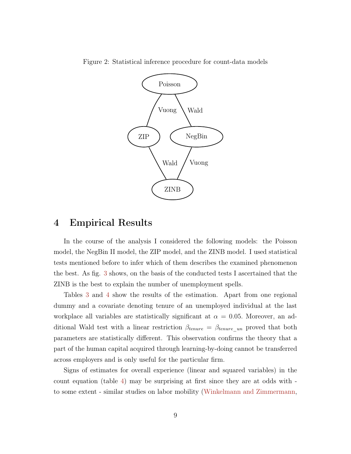<span id="page-9-0"></span>

Figure 2: Statistical inference procedure for count-data models

#### <span id="page-9-1"></span>4 Empirical Results

In the course of the analysis I considered the following models: the Poisson model, the NegBin II model, the ZIP model, and the ZINB model. I used statistical tests mentioned before to infer which of them describes the examined phenomenon the best. As fig. [3](#page-10-0) shows, on the basis of the conducted tests I ascertained that the ZINB is the best to explain the number of unemployment spells.

Tables [3](#page-12-0) and [4](#page-13-0) show the results of the estimation. Apart from one regional dummy and a covariate denoting tenure of an unemployed individual at the last workplace all variables are statistically significant at  $\alpha = 0.05$ . Moreover, an additional Wald test with a linear restriction  $\beta_{tenure} = \beta_{tenure\_un}$  proved that both parameters are statistically different. This observation confirms the theory that a part of the human capital acquired through learning-by-doing cannot be transferred across employers and is only useful for the particular firm.

Signs of estimates for overall experience (linear and squared variables) in the count equation (table [4\)](#page-13-0) may be surprising at first since they are at odds with to some extent - similar studies on labor mobility [\(Winkelmann and Zimmermann,](#page-18-2)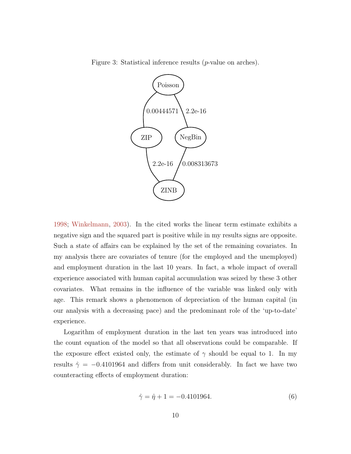Figure 3: Statistical inference results (p-value on arches).

<span id="page-10-0"></span>

[1998;](#page-18-2) [Winkelmann,](#page-18-4) [2003\)](#page-18-4). In the cited works the linear term estimate exhibits a negative sign and the squared part is positive while in my results signs are opposite. Such a state of affairs can be explained by the set of the remaining covariates. In my analysis there are covariates of tenure (for the employed and the unemployed) and employment duration in the last 10 years. In fact, a whole impact of overall experience associated with human capital accumulation was seized by these 3 other covariates. What remains in the influence of the variable was linked only with age. This remark shows a phenomenon of depreciation of the human capital (in our analysis with a decreasing pace) and the predominant role of the 'up-to-date' experience.

Logarithm of employment duration in the last ten years was introduced into the count equation of the model so that all observations could be comparable. If the exposure effect existed only, the estimate of  $\gamma$  should be equal to 1. In my results  $\hat{\gamma} = -0.4101964$  and differs from unit considerably. In fact we have two counteracting effects of employment duration:

$$
\hat{\gamma} = \hat{\eta} + 1 = -0.4101964. \tag{6}
$$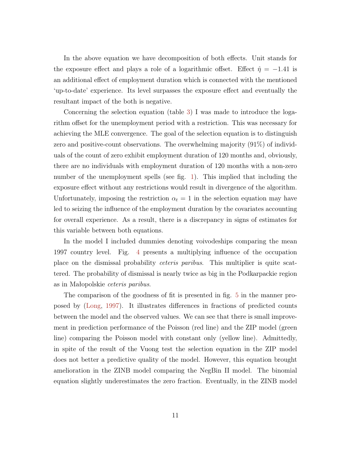In the above equation we have decomposition of both effects. Unit stands for the exposure effect and plays a role of a logarithmic offset. Effect  $\hat{\eta} = -1.41$  is an additional effect of employment duration which is connected with the mentioned 'up-to-date' experience. Its level surpasses the exposure effect and eventually the resultant impact of the both is negative.

Concerning the selection equation (table [3\)](#page-12-0) I was made to introduce the logarithm offset for the unemployment period with a restriction. This was necessary for achieving the MLE convergence. The goal of the selection equation is to distinguish zero and positive-count observations. The overwhelming majority (91%) of individuals of the count of zero exhibit employment duration of 120 months and, obviously, there are no individuals with employment duration of 120 months with a non-zero number of the unemployment spells (see fig. [1\)](#page-5-0). This implied that including the exposure effect without any restrictions would result in divergence of the algorithm. Unfortunately, imposing the restriction  $\alpha_t = 1$  in the selection equation may have led to seizing the influence of the employment duration by the covariates accounting for overall experience. As a result, there is a discrepancy in signs of estimates for this variable between both equations.

In the model I included dummies denoting voivodeships comparing the mean 1997 country level. Fig. [4](#page-14-0) presents a multiplying influence of the occupation place on the dismissal probability ceteris paribus. This multiplier is quite scattered. The probability of dismissal is nearly twice as big in the Podkarpackie region as in Małopolskie ceteris paribus.

The comparison of the goodness of fit is presented in fig. [5](#page-15-0) in the manner proposed by [\(Long,](#page-18-9) [1997\)](#page-18-9). It illustrates differences in fractions of predicted counts between the model and the observed values. We can see that there is small improvement in prediction performance of the Poisson (red line) and the ZIP model (green line) comparing the Poisson model with constant only (yellow line). Admittedly, in spite of the result of the Vuong test the selection equation in the ZIP model does not better a predictive quality of the model. However, this equation brought amelioration in the ZINB model comparing the NegBin II model. The binomial equation slightly underestimates the zero fraction. Eventually, in the ZINB model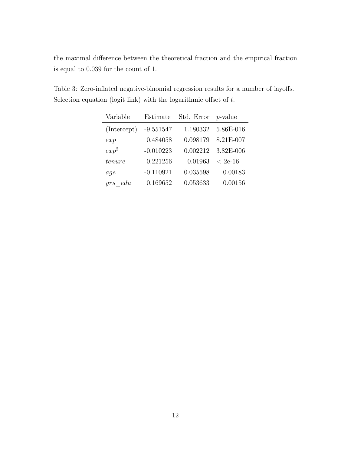the maximal difference between the theoretical fraction and the empirical fraction is equal to 0.039 for the count of 1.

<span id="page-12-0"></span>Table 3: Zero-inflated negative-binomial regression results for a number of layoffs. Selection equation (logit link) with the logarithmic offset of  $t$ .

| Variable         | Estimate    | Std. Error $p$ -value |            |
|------------------|-------------|-----------------------|------------|
| (Intercept)      | $-9.551547$ | 1.180332              | 5.86E-016  |
| exp              | 0.484058    | 0.098179              | 8.21E-007  |
| exp <sup>2</sup> | $-0.010223$ | 0.002212              | 3.82E-006  |
| tenure           | 0.221256    | 0.01963               | $~< 2e-16$ |
| aqe              | $-0.110921$ | 0.035598              | 0.00183    |
| edu<br>urs       | 0.169652    | 0.053633              | 0.00156    |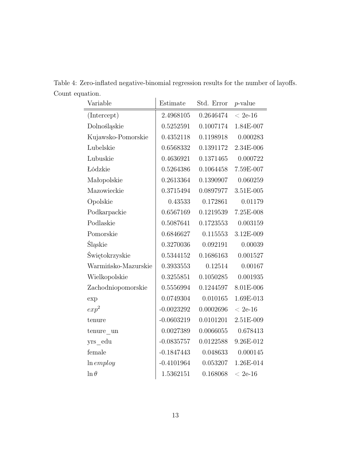<span id="page-13-0"></span>

| Variable                      | Estimate     | Std. Error | $p$ -value |
|-------------------------------|--------------|------------|------------|
| (Intercept)                   | 2.4968105    | 0.2646474  | $< 2e-16$  |
| Dolnośląskie                  | 0.5252591    | 0.1007174  | 1.84E-007  |
| Kujawsko-Pomorskie            | 0.4352118    | 0.1198918  | 0.000283   |
| Lubelskie                     | 0.6568332    | 0.1391172  | 2.34E-006  |
| Lubuskie                      | 0.4636921    | 0.1371465  | 0.000722   |
| Łódzkie                       | 0.5264386    | 0.1064458  | 7.59E-007  |
| Małopolskie                   | 0.2613364    | 0.1390907  | 0.060259   |
| Mazowieckie                   | 0.3715494    | 0.0897977  | 3.51E-005  |
| Opolskie                      | 0.43533      | 0.172861   | 0.01179    |
| Podkarpackie                  | 0.6567169    | 0.1219539  | 7.25E-008  |
| Podlaskie                     | 0.5087641    | 0.1723553  | 0.003159   |
| Pomorskie                     | 0.6846627    | 0.115553   | 3.12E-009  |
| Śląskie                       | 0.3270036    | 0.092191   | 0.00039    |
| Świętokrzyskie                | 0.5344152    | 0.1686163  | 0.001527   |
| Warmińsko-Mazurskie           | 0.3933553    | 0.12514    | 0.00167    |
| Wielkopolskie                 | 0.3255851    | 0.1050285  | 0.001935   |
| Zachodniopomorskie            | 0.5556994    | 0.1244597  | 8.01E-006  |
| exp                           | 0.0749304    | 0.010165   | 1.69E-013  |
| $exp^2$                       | $-0.0023292$ | 0.0002696  | $< 2e-16$  |
| tenure                        | $-0.0603219$ | 0.0101201  | 2.51E-009  |
| $t$ enure $\_{un}$            | 0.0027389    | 0.0066055  | 0.678413   |
| yrs edu                       | $-0.0835757$ | 0.0122588  | 9.26E-012  |
| female                        | $-0.1847443$ | 0.048633   | 0.000145   |
| $ln \, \epsilon$ <i>mploy</i> | $-0.4101964$ | 0.053207   | 1.26E-014  |
| $\ln \theta$                  | 1.5362151    | 0.168068   | $< 2e-16$  |

Table 4: Zero-inflated negative-binomial regression results for the number of layoffs. Count equation.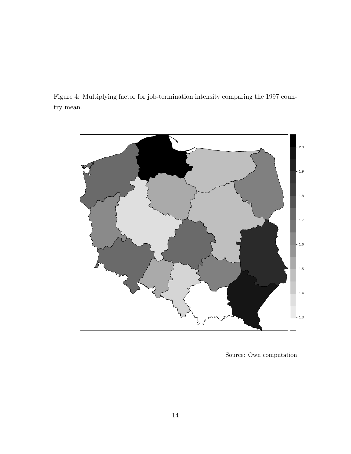<span id="page-14-0"></span>Figure 4: Multiplying factor for job-termination intensity comparing the 1997 country mean.



Source: Own computation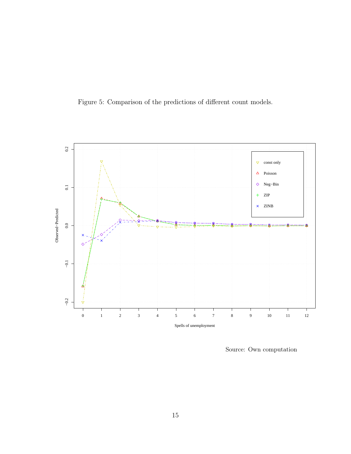<span id="page-15-0"></span>



Source: Own computation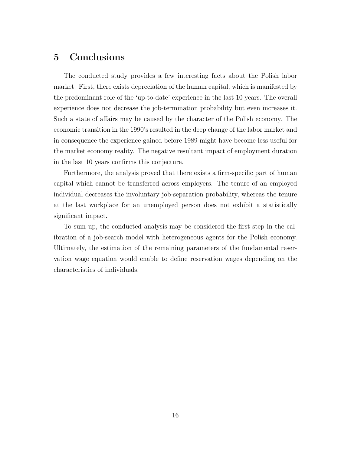### 5 Conclusions

The conducted study provides a few interesting facts about the Polish labor market. First, there exists depreciation of the human capital, which is manifested by the predominant role of the 'up-to-date' experience in the last 10 years. The overall experience does not decrease the job-termination probability but even increases it. Such a state of affairs may be caused by the character of the Polish economy. The economic transition in the 1990's resulted in the deep change of the labor market and in consequence the experience gained before 1989 might have become less useful for the market economy reality. The negative resultant impact of employment duration in the last 10 years confirms this conjecture.

Furthermore, the analysis proved that there exists a firm-specific part of human capital which cannot be transferred across employers. The tenure of an employed individual decreases the involuntary job-separation probability, whereas the tenure at the last workplace for an unemployed person does not exhibit a statistically significant impact.

To sum up, the conducted analysis may be considered the first step in the calibration of a job-search model with heterogeneous agents for the Polish economy. Ultimately, the estimation of the remaining parameters of the fundamental reservation wage equation would enable to define reservation wages depending on the characteristics of individuals.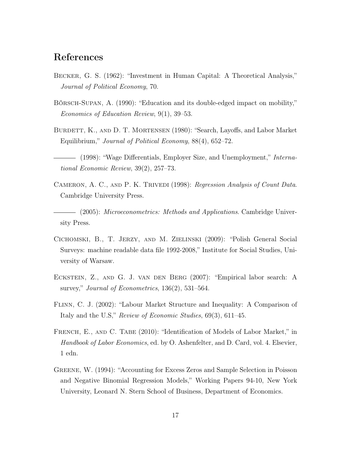### References

- <span id="page-17-2"></span>Becker, G. S. (1962): "Investment in Human Capital: A Theoretical Analysis," Journal of Political Economy, 70.
- <span id="page-17-4"></span>Börsch-Supan, A. (1990): "Education and its double-edged impact on mobility," Economics of Education Review, 9(1), 39–53.
- <span id="page-17-1"></span>BURDETT, K., AND D. T. MORTENSEN (1980): "Search, Layoffs, and Labor Market Equilibrium," Journal of Political Economy, 88(4), 652–72.
- <span id="page-17-0"></span>- (1998): "Wage Differentials, Employer Size, and Unemployment," International Economic Review, 39(2), 257–73.
- CAMERON, A. C., AND P. K. TRIVEDI (1998): Regression Analysis of Count Data. Cambridge University Press.

 $-$  (2005): *Microeconometrics: Methods and Applications*. Cambridge University Press.

- <span id="page-17-3"></span>Cichomski, B., T. Jerzy, and M. Zielinski (2009): "Polish General Social Surveys: machine readable data file 1992-2008," Institute for Social Studies, University of Warsaw.
- <span id="page-17-6"></span>Eckstein, Z., and G. J. van den Berg (2007): "Empirical labor search: A survey," Journal of Econometrics,  $136(2)$ ,  $531-564$ .
- <span id="page-17-7"></span>Flinn, C. J. (2002): "Labour Market Structure and Inequality: A Comparison of Italy and the U.S," Review of Economic Studies, 69(3), 611–45.
- <span id="page-17-5"></span>FRENCH, E., AND C. TABE (2010): "Identification of Models of Labor Market," in Handbook of Labor Economics, ed. by O. Ashenfelter, and D. Card, vol. 4. Elsevier, 1 edn.
- <span id="page-17-8"></span>Greene, W. (1994): "Accounting for Excess Zeros and Sample Selection in Poisson and Negative Binomial Regression Models," Working Papers 94-10, New York University, Leonard N. Stern School of Business, Department of Economics.